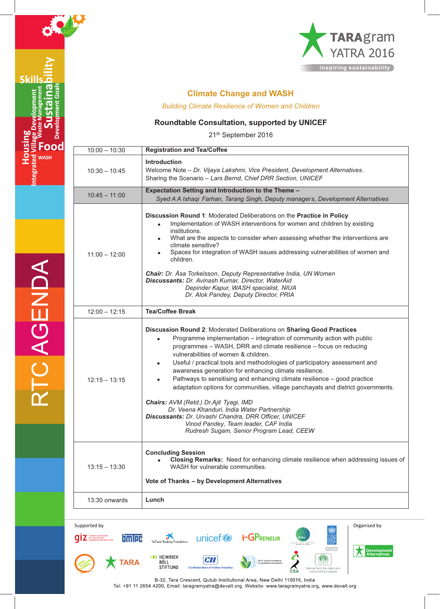

Skill

**Housing** 

**ood WASH** 



# **Climate Change and WASH**

*Building Climate Resilience of Women and Children*

### **Roundtable Consultation, supported by UNICEF**

21th September 2016

| $10:00 - 10:30$ | <b>Registration and Tea/Coffee</b>                                                                                                                                                                                                                                                                                                                                                                                                                                                                                                                                                                                                                                                                                                                                                                         |
|-----------------|------------------------------------------------------------------------------------------------------------------------------------------------------------------------------------------------------------------------------------------------------------------------------------------------------------------------------------------------------------------------------------------------------------------------------------------------------------------------------------------------------------------------------------------------------------------------------------------------------------------------------------------------------------------------------------------------------------------------------------------------------------------------------------------------------------|
| $10:30 - 10:45$ | <b>Introduction</b><br>Welcome Note - Dr. Vijaya Lakshmi, Vice President, Development Alternatives.<br>Sharing the Scenario - Lars Bernd, Chief DRR Section, UNICEF                                                                                                                                                                                                                                                                                                                                                                                                                                                                                                                                                                                                                                        |
| $10:45 - 11:00$ | Expectation Setting and Introduction to the Theme -<br>Syed A A Ishaqi Farhan, Tarang Singh, Deputy managers, Development Alternatives                                                                                                                                                                                                                                                                                                                                                                                                                                                                                                                                                                                                                                                                     |
| $11:00 - 12:00$ | Discussion Round 1: Moderated Deliberations on the Practice in Policy<br>Implementation of WASH interventions for women and children by existing<br>$\bullet$<br>institutions.<br>What are the aspects to consider when assessing whether the interventions are<br>$\bullet$<br>climate sensitive?<br>Spaces for integration of WASH issues addressing vulnerabilities of women and<br>children.<br><b>Chair:</b> Dr. Åsa Torkelsson, Deputy Representative India, UN Women<br>Discussants: Dr. Avinash Kumar, Director, WaterAid<br>Depinder Kapur, WASH specialist, NIUA<br>Dr. Alok Pandey, Deputy Director, PRIA                                                                                                                                                                                       |
| $12:00 - 12:15$ | <b>Tea/Coffee Break</b>                                                                                                                                                                                                                                                                                                                                                                                                                                                                                                                                                                                                                                                                                                                                                                                    |
| $12:15 - 13:15$ | Discussion Round 2: Moderated Deliberations on Sharing Good Practices<br>Programme implementation - integration of community action with public<br>programmes - WASH, DRR and climate resilience - focus on reducing<br>vulnerabilities of women & children.<br>Useful / practical tools and methodologies of participatory assessment and<br>awareness generation for enhancing climate resilience.<br>Pathways to sensitising and enhancing climate resilience - good practice<br>adaptation options for communities, village panchayats and district governments.<br>Chairs: AVM (Retd.) Dr.Ajit Tyagi, IMD<br>Dr. Veena Khanduri, India Water Partnership<br>Discussants: Dr. Urvashi Chandra, DRR Officer, UNICEF<br>Vinod Pandey, Team leader, CAF India<br>Rudresh Sugam, Senior Program Lead, CEEW |
| $13:15 - 13:30$ | <b>Concluding Session</b><br>Closing Remarks: Need for enhancing climate resilience when addressing issues of<br>WASH for vulnerable communities.<br>Vote of Thanks - by Development Alternatives                                                                                                                                                                                                                                                                                                                                                                                                                                                                                                                                                                                                          |
| 13:30 onwards   | Lunch                                                                                                                                                                                                                                                                                                                                                                                                                                                                                                                                                                                                                                                                                                                                                                                                      |
|                 |                                                                                                                                                                                                                                                                                                                                                                                                                                                                                                                                                                                                                                                                                                                                                                                                            |



B-32, Tara Crescent, Qutub Institutional Area, New Delhi 110016, India Tel: +91 11 2654 4200, Email: taragramyatra@devalt.org, Website: www.taragramyatra.org, www.devalt.org

RTC AGENDA